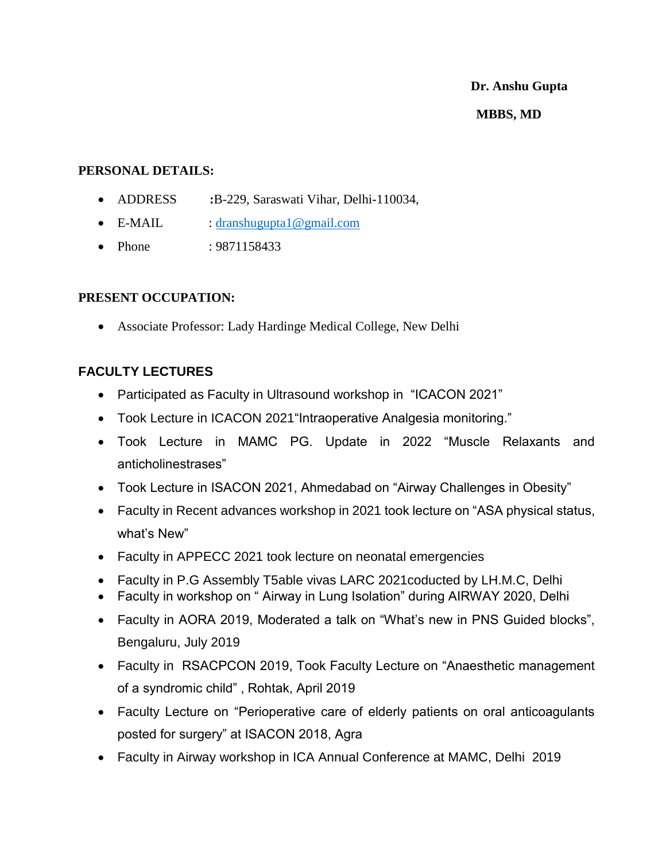# **Dr. Anshu Gupta MBBS, MD**

#### **PERSONAL DETAILS:**

- ADDRESS **:**B-229, Saraswati Vihar, Delhi-110034,
- E-MAIL : [dranshugupta1@gmail.com](mailto:dranshugupta1@gmail.com)
- Phone : 9871158433

#### **PRESENT OCCUPATION:**

Associate Professor: Lady Hardinge Medical College, New Delhi

### **FACULTY LECTURES**

- Participated as Faculty in Ultrasound workshop in "ICACON 2021"
- Took Lecture in ICACON 2021"Intraoperative Analgesia monitoring."
- Took Lecture in MAMC PG. Update in 2022 "Muscle Relaxants and anticholinestrases"
- Took Lecture in ISACON 2021, Ahmedabad on "Airway Challenges in Obesity"
- Faculty in Recent advances workshop in 2021 took lecture on "ASA physical status, what's New"
- Faculty in APPECC 2021 took lecture on neonatal emergencies
- Faculty in P.G Assembly T5able vivas LARC 2021coducted by LH.M.C, Delhi
- Faculty in workshop on "Airway in Lung Isolation" during AIRWAY 2020, Delhi
- Faculty in AORA 2019, Moderated a talk on "What's new in PNS Guided blocks", Bengaluru, July 2019
- Faculty in RSACPCON 2019, Took Faculty Lecture on "Anaesthetic management of a syndromic child" , Rohtak, April 2019
- Faculty Lecture on "Perioperative care of elderly patients on oral anticoagulants posted for surgery" at ISACON 2018, Agra
- Faculty in Airway workshop in ICA Annual Conference at MAMC, Delhi 2019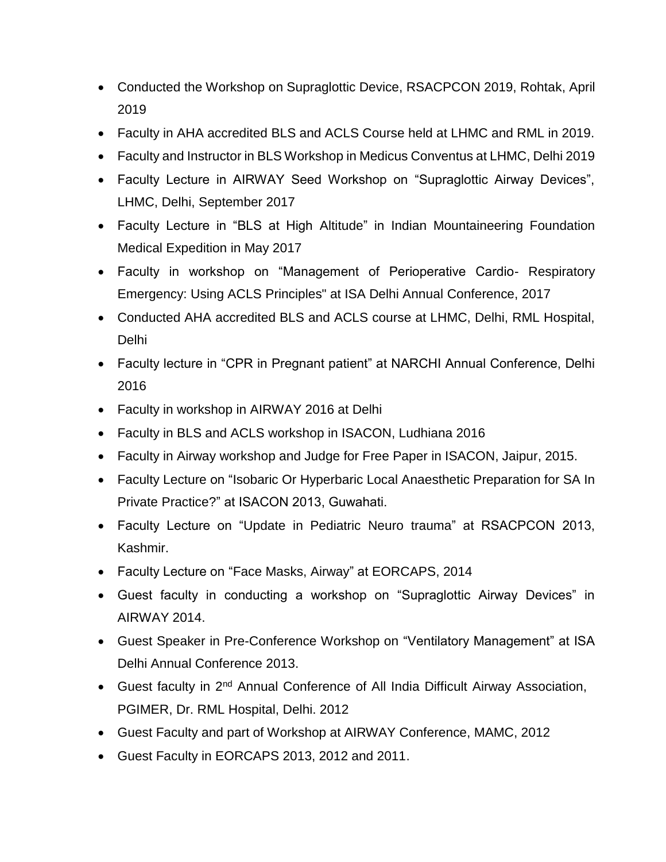- Conducted the Workshop on Supraglottic Device, RSACPCON 2019, Rohtak, April 2019
- Faculty in AHA accredited BLS and ACLS Course held at LHMC and RML in 2019.
- Faculty and Instructor in BLS Workshop in Medicus Conventus at LHMC, Delhi 2019
- Faculty Lecture in AIRWAY Seed Workshop on "Supraglottic Airway Devices", LHMC, Delhi, September 2017
- Faculty Lecture in "BLS at High Altitude" in Indian Mountaineering Foundation Medical Expedition in May 2017
- Faculty in workshop on "Management of Perioperative Cardio- Respiratory Emergency: Using ACLS Principles" at ISA Delhi Annual Conference, 2017
- Conducted AHA accredited BLS and ACLS course at LHMC, Delhi, RML Hospital, Delhi
- Faculty lecture in "CPR in Pregnant patient" at NARCHI Annual Conference, Delhi 2016
- Faculty in workshop in AIRWAY 2016 at Delhi
- Faculty in BLS and ACLS workshop in ISACON, Ludhiana 2016
- Faculty in Airway workshop and Judge for Free Paper in ISACON, Jaipur, 2015.
- Faculty Lecture on "Isobaric Or Hyperbaric Local Anaesthetic Preparation for SA In Private Practice?" at ISACON 2013, Guwahati.
- Faculty Lecture on "Update in Pediatric Neuro trauma" at RSACPCON 2013, Kashmir.
- Faculty Lecture on "Face Masks, Airway" at EORCAPS, 2014
- Guest faculty in conducting a workshop on "Supraglottic Airway Devices" in AIRWAY 2014.
- Guest Speaker in Pre-Conference Workshop on "Ventilatory Management" at ISA Delhi Annual Conference 2013.
- Guest faculty in 2<sup>nd</sup> Annual Conference of All India Difficult Airway Association, PGIMER, Dr. RML Hospital, Delhi. 2012
- Guest Faculty and part of Workshop at AIRWAY Conference, MAMC, 2012
- Guest Faculty in EORCAPS 2013, 2012 and 2011.